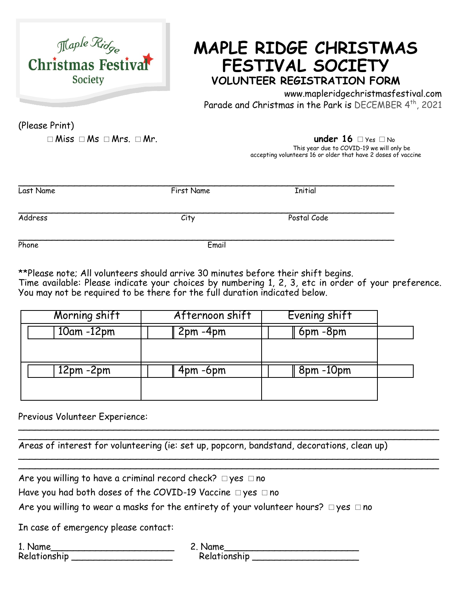

## **MAPLE RIDGE CHRISTMAS FESTIVAL SOCIETY VOLUNTEER REGISTRATION FORM**

www.mapleridgechristmasfestival.com Parade and Christmas in the Park is DECEMBER 4<sup>th</sup>, 2021

(Please Print)

□Miss □Ms □Mrs. □Mr. **under 16** □Yes □No This year due to COVID-19 we will only be accepting volunteers 16 or older that have 2 doses of vaccine

| Last Name | First Name | <b>Initial</b> |  |
|-----------|------------|----------------|--|
| Address   | City       | Postal Code    |  |
| Phone     | Email      |                |  |

\*\*Please note; All volunteers should arrive 30 minutes before their shift begins. Time available: Please indicate your choices by numbering 1, 2, 3, etc in order of your preference. You may not be required to be there for the full duration indicated below.

| Morning shift | Afternoon shift | Evening shift  |  |
|---------------|-----------------|----------------|--|
| $10am - 12pm$ | $2pm - 4pm$     | $6$ pm $-8$ pm |  |
|               |                 |                |  |
| $12pm - 2pm$  | $4pm - 6pm$     | 8pm-10pm       |  |
|               |                 |                |  |
|               |                 |                |  |

Previous Volunteer Experience: \_\_\_\_\_\_\_\_\_\_\_\_\_\_\_\_\_\_\_\_\_\_\_\_\_\_\_\_\_\_\_\_\_\_\_\_\_\_\_\_\_\_\_\_\_\_\_\_\_\_\_\_\_\_\_\_\_\_\_\_\_\_\_\_\_\_\_\_\_\_\_\_\_\_\_

\_\_\_\_\_\_\_\_\_\_\_\_\_\_\_\_\_\_\_\_\_\_\_\_\_\_\_\_\_\_\_\_\_\_\_\_\_\_\_\_\_\_\_\_\_\_\_\_\_\_\_\_\_\_\_\_\_\_\_\_\_\_\_\_\_\_\_\_\_\_\_\_\_\_\_ Areas of interest for volunteering (ie: set up, popcorn, bandstand, decorations, clean up) \_\_\_\_\_\_\_\_\_\_\_\_\_\_\_\_\_\_\_\_\_\_\_\_\_\_\_\_\_\_\_\_\_\_\_\_\_\_\_\_\_\_\_\_\_\_\_\_\_\_\_\_\_\_\_\_\_\_\_\_\_\_\_\_\_\_\_\_\_\_\_\_\_\_\_

Are you willing to have a criminal record check?  $\Box$  yes  $\Box$  no

Have you had both doses of the COVID-19 Vaccine □yes □no

Are you willing to wear a masks for the entirety of your volunteer hours?  $\Box$  yes  $\Box$  no

In case of emergency please contact:

1. Name 2. Name 2. Name 2. Name 2. Name 2. Name 2. Name 2. Name 2. Name 2. Name 2. Name 2. Name 2. Name 2. Name 2. Name 2. Name 2. Name 2. Name 2. Name 2. Name 2. Name 2. Name 2. Name 2. Name 2. Name 2. Name 2. Name 2. Nam Relationship \_\_\_\_\_\_\_\_\_\_\_\_\_\_\_\_\_\_ Relationship \_\_\_\_\_\_\_\_\_\_\_\_\_\_\_\_\_\_\_

\_\_\_\_\_\_\_\_\_\_\_\_\_\_\_\_\_\_\_\_\_\_\_\_\_\_\_\_\_\_\_\_\_\_\_\_\_\_\_\_\_\_\_\_\_\_\_\_\_\_\_\_\_\_\_\_\_\_\_\_\_\_\_\_\_\_\_\_\_\_\_\_\_\_\_